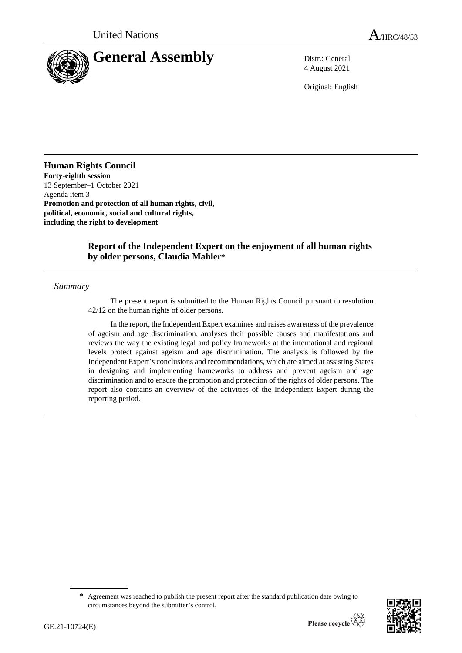

4 August 2021

Original: English

## **Human Rights Council**

**Forty-eighth session** 13 September–1 October 2021 Agenda item 3 **Promotion and protection of all human rights, civil, political, economic, social and cultural rights, including the right to development**

### **Report of the Independent Expert on the enjoyment of all human rights by older persons, Claudia Mahler**\*

#### *Summary*

The present report is submitted to the Human Rights Council pursuant to resolution 42/12 on the human rights of older persons.

In the report, the Independent Expert examines and raises awareness of the prevalence of ageism and age discrimination, analyses their possible causes and manifestations and reviews the way the existing legal and policy frameworks at the international and regional levels protect against ageism and age discrimination. The analysis is followed by the Independent Expert's conclusions and recommendations, which are aimed at assisting States in designing and implementing frameworks to address and prevent ageism and age discrimination and to ensure the promotion and protection of the rights of older persons. The report also contains an overview of the activities of the Independent Expert during the reporting period.

<sup>\*</sup> Agreement was reached to publish the present report after the standard publication date owing to circumstances beyond the submitter's control.

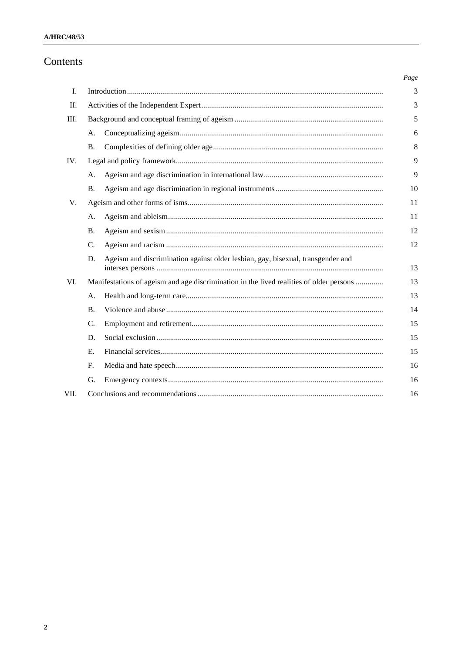# Contents

|      |                                                                                         |                                                                                 | Page |
|------|-----------------------------------------------------------------------------------------|---------------------------------------------------------------------------------|------|
| Ι.   |                                                                                         |                                                                                 |      |
| П.   |                                                                                         |                                                                                 |      |
| III. |                                                                                         |                                                                                 | 5    |
|      | A.                                                                                      |                                                                                 | 6    |
|      | <b>B.</b>                                                                               |                                                                                 | 8    |
| IV.  |                                                                                         |                                                                                 | 9    |
|      | A.                                                                                      |                                                                                 | 9    |
|      | <b>B.</b>                                                                               |                                                                                 | 10   |
| V.   |                                                                                         |                                                                                 | 11   |
|      | A.                                                                                      |                                                                                 | 11   |
|      | <b>B.</b>                                                                               |                                                                                 | 12   |
|      | $\mathcal{C}$ .                                                                         |                                                                                 | 12   |
|      | D.                                                                                      | Ageism and discrimination against older lesbian, gay, bisexual, transgender and | 13   |
| VI.  | Manifestations of ageism and age discrimination in the lived realities of older persons |                                                                                 | 13   |
|      | A.                                                                                      |                                                                                 | 13   |
|      | <b>B.</b>                                                                               |                                                                                 | 14   |
|      | C.                                                                                      |                                                                                 | 15   |
|      | D.                                                                                      |                                                                                 | 15   |
|      | E.                                                                                      |                                                                                 | 15   |
|      | F.                                                                                      |                                                                                 | 16   |
|      | G.                                                                                      |                                                                                 | 16   |
| VII. |                                                                                         |                                                                                 |      |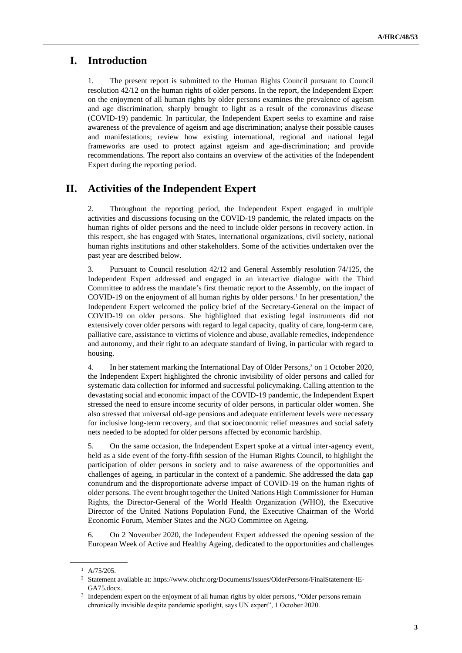# **I. Introduction**

1. The present report is submitted to the Human Rights Council pursuant to Council resolution 42/12 on the human rights of older persons. In the report, the Independent Expert on the enjoyment of all human rights by older persons examines the prevalence of ageism and age discrimination, sharply brought to light as a result of the coronavirus disease (COVID-19) pandemic. In particular, the Independent Expert seeks to examine and raise awareness of the prevalence of ageism and age discrimination; analyse their possible causes and manifestations; review how existing international, regional and national legal frameworks are used to protect against ageism and age-discrimination; and provide recommendations. The report also contains an overview of the activities of the Independent Expert during the reporting period.

# **II. Activities of the Independent Expert**

2. Throughout the reporting period, the Independent Expert engaged in multiple activities and discussions focusing on the COVID-19 pandemic, the related impacts on the human rights of older persons and the need to include older persons in recovery action. In this respect, she has engaged with States, international organizations, civil society, national human rights institutions and other stakeholders. Some of the activities undertaken over the past year are described below.

3. Pursuant to Council resolution 42/12 and General Assembly resolution 74/125, the Independent Expert addressed and engaged in an interactive dialogue with the Third Committee to address the mandate's first thematic report to the Assembly, on the impact of COVID-19 on the enjoyment of all human rights by older persons.<sup>1</sup> In her presentation,<sup>2</sup> the Independent Expert welcomed the policy brief of the Secretary-General on the impact of COVID-19 on older persons. She highlighted that existing legal instruments did not extensively cover older persons with regard to legal capacity, quality of care, long-term care, palliative care, assistance to victims of violence and abuse, available remedies, independence and autonomy, and their right to an adequate standard of living, in particular with regard to housing.

4. In her statement marking the International Day of Older Persons, <sup>3</sup> on 1 October 2020, the Independent Expert highlighted the chronic invisibility of older persons and called for systematic data collection for informed and successful policymaking. Calling attention to the devastating social and economic impact of the COVID-19 pandemic, the Independent Expert stressed the need to ensure income security of older persons, in particular older women. She also stressed that universal old-age pensions and adequate entitlement levels were necessary for inclusive long-term recovery, and that socioeconomic relief measures and social safety nets needed to be adopted for older persons affected by economic hardship.

5. On the same occasion, the Independent Expert spoke at a virtual inter-agency event, held as a side event of the forty-fifth session of the Human Rights Council, to highlight the participation of older persons in society and to raise awareness of the opportunities and challenges of ageing, in particular in the context of a pandemic. She addressed the data gap conundrum and the disproportionate adverse impact of COVID-19 on the human rights of older persons. The event brought together the United Nations High Commissioner for Human Rights, the Director-General of the World Health Organization (WHO), the Executive Director of the United Nations Population Fund, the Executive Chairman of the World Economic Forum, Member States and the NGO Committee on Ageing.

6. On 2 November 2020, the Independent Expert addressed the opening session of the European Week of Active and Healthy Ageing, dedicated to the opportunities and challenges

 $^1$  A/75/205.

<sup>2</sup> Statement available at: https://www.ohchr.org/Documents/Issues/OlderPersons/FinalStatement-IE-GA75.docx.

<sup>&</sup>lt;sup>3</sup> Independent expert on the enjoyment of all human rights by older persons, "Older persons remain chronically invisible despite pandemic spotlight, says UN expert", 1 October 2020.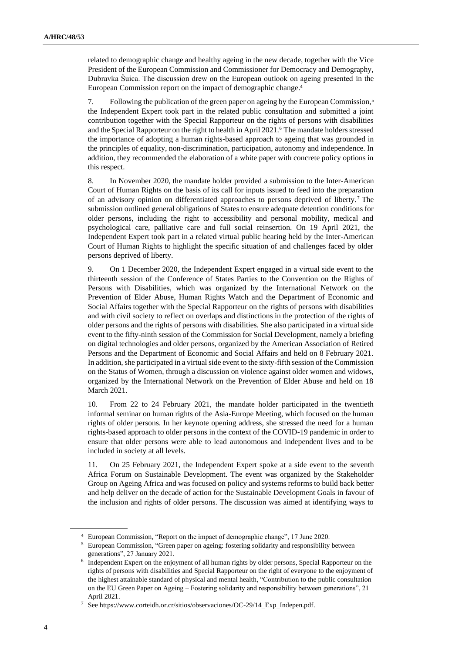related to demographic change and healthy ageing in the new decade, together with the Vice President of the European Commission and Commissioner for Democracy and Demography, Dubravka Šuica. The discussion drew on the European outlook on ageing presented in the European Commission report on the impact of demographic change. 4

7. Following the publication of the green paper on ageing by the European Commission,<sup>5</sup> the Independent Expert took part in the related public consultation and submitted a joint contribution together with the Special Rapporteur on the rights of persons with disabilities and the Special Rapporteur on the right to health in April 2021.<sup>6</sup> The mandate holders stressed the importance of adopting a human rights-based approach to ageing that was grounded in the principles of equality, non-discrimination, participation, autonomy and independence. In addition, they recommended the elaboration of a white paper with concrete policy options in this respect.

8. In November 2020, the mandate holder provided a submission to the Inter-American Court of Human Rights on the basis of its call for inputs issued to feed into the preparation of an advisory opinion on differentiated approaches to persons deprived of liberty. <sup>7</sup> The submission outlined general obligations of States to ensure adequate detention conditions for older persons, including the right to accessibility and personal mobility, medical and psychological care, palliative care and full social reinsertion. On 19 April 2021, the Independent Expert took part in a related virtual public hearing held by the Inter-American Court of Human Rights to highlight the specific situation of and challenges faced by older persons deprived of liberty.

9. On 1 December 2020, the Independent Expert engaged in a virtual side event to the thirteenth session of the Conference of States Parties to the Convention on the Rights of Persons with Disabilities, which was organized by the International Network on the Prevention of Elder Abuse, Human Rights Watch and the Department of Economic and Social Affairs together with the Special Rapporteur on the rights of persons with disabilities and with civil society to reflect on overlaps and distinctions in the protection of the rights of older persons and the rights of persons with disabilities. She also participated in a virtual side event to the fifty-ninth session of the Commission for Social Development, namely a briefing on digital technologies and older persons, organized by the American Association of Retired Persons and the Department of Economic and Social Affairs and held on 8 February 2021. In addition, she participated in a virtual side event to the sixty-fifth session of the Commission on the Status of Women, through a discussion on violence against older women and widows, organized by the International Network on the Prevention of Elder Abuse and held on 18 March 2021.

10. From 22 to 24 February 2021, the mandate holder participated in the twentieth informal seminar on human rights of the Asia-Europe Meeting, which focused on the human rights of older persons. In her keynote opening address, she stressed the need for a human rights-based approach to older persons in the context of the COVID-19 pandemic in order to ensure that older persons were able to lead autonomous and independent lives and to be included in society at all levels.

11. On 25 February 2021, the Independent Expert spoke at a side event to the seventh Africa Forum on Sustainable Development. The event was organized by the Stakeholder Group on Ageing Africa and was focused on policy and systems reforms to build back better and help deliver on the decade of action for the Sustainable Development Goals in favour of the inclusion and rights of older persons. The discussion was aimed at identifying ways to

<sup>4</sup> European Commission, "Report on the impact of demographic change", 17 June 2020.

<sup>5</sup> European Commission, "Green paper on ageing: fostering solidarity and responsibility between generations", 27 January 2021.

<sup>6</sup> Independent Expert on the enjoyment of all human rights by older persons, Special Rapporteur on the rights of persons with disabilities and Special Rapporteur on the right of everyone to the enjoyment of the highest attainable standard of physical and mental health, "Contribution to the public consultation on the EU Green Paper on Ageing – Fostering solidarity and responsibility between generations", 21 April 2021.

<sup>7</sup> See https://www.corteidh.or.cr/sitios/observaciones/OC-29/14\_Exp\_Indepen.pdf.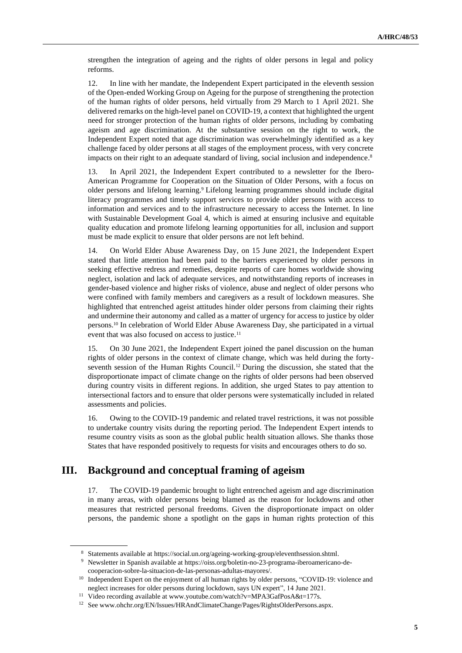strengthen the integration of ageing and the rights of older persons in legal and policy reforms.

12. In line with her mandate, the Independent Expert participated in the eleventh session of the Open-ended Working Group on Ageing for the purpose of strengthening the protection of the human rights of older persons, held virtually from 29 March to 1 April 2021. She delivered remarks on the high-level panel on COVID-19, a context that highlighted the urgent need for stronger protection of the human rights of older persons, including by combating ageism and age discrimination. At the substantive session on the right to work, the Independent Expert noted that age discrimination was overwhelmingly identified as a key challenge faced by older persons at all stages of the employment process, with very concrete impacts on their right to an adequate standard of living, social inclusion and independence. 8

13. In April 2021, the Independent Expert contributed to a newsletter for the Ibero-American Programme for Cooperation on the Situation of Older Persons, with a focus on older persons and lifelong learning.<sup>9</sup> Lifelong learning programmes should include digital literacy programmes and timely support services to provide older persons with access to information and services and to the infrastructure necessary to access the Internet. In line with Sustainable Development Goal 4, which is aimed at ensuring inclusive and equitable quality education and promote lifelong learning opportunities for all, inclusion and support must be made explicit to ensure that older persons are not left behind.

14. On World Elder Abuse Awareness Day, on 15 June 2021, the Independent Expert stated that little attention had been paid to the barriers experienced by older persons in seeking effective redress and remedies, despite reports of care homes worldwide showing neglect, isolation and lack of adequate services, and notwithstanding reports of increases in gender-based violence and higher risks of violence, abuse and neglect of older persons who were confined with family members and caregivers as a result of lockdown measures. She highlighted that entrenched ageist attitudes hinder older persons from claiming their rights and undermine their autonomy and called as a matter of urgency for access to justice by older persons.<sup>10</sup> In celebration of World Elder Abuse Awareness Day, she participated in a virtual event that was also focused on access to justice.<sup>11</sup>

15. On 30 June 2021, the Independent Expert joined the panel discussion on the human rights of older persons in the context of climate change, which was held during the fortyseventh session of the Human Rights Council.<sup>12</sup> During the discussion, she stated that the disproportionate impact of climate change on the rights of older persons had been observed during country visits in different regions. In addition, she urged States to pay attention to intersectional factors and to ensure that older persons were systematically included in related assessments and policies.

16. Owing to the COVID-19 pandemic and related travel restrictions, it was not possible to undertake country visits during the reporting period. The Independent Expert intends to resume country visits as soon as the global public health situation allows. She thanks those States that have responded positively to requests for visits and encourages others to do so.

# **III. Background and conceptual framing of ageism**

17. The COVID-19 pandemic brought to light entrenched ageism and age discrimination in many areas, with older persons being blamed as the reason for lockdowns and other measures that restricted personal freedoms. Given the disproportionate impact on older persons, the pandemic shone a spotlight on the gaps in human rights protection of this

<sup>8</sup> Statements available at https://social.un.org/ageing-working-group/eleventhsession.shtml.

<sup>9</sup> Newsletter in Spanish available at https://oiss.org/boletin-no-23-programa-iberoamericano-decooperacion-sobre-la-situacion-de-las-personas-adultas-mayores/.

<sup>&</sup>lt;sup>10</sup> Independent Expert on the enjoyment of all human rights by older persons, "COVID-19: violence and neglect increases for older persons during lockdown, says UN expert", 14 June 2021.

<sup>&</sup>lt;sup>11</sup> Video recording available at www.youtube.com/watch?v=MPA3GafPosA&t=177s.

<sup>&</sup>lt;sup>12</sup> See www.ohchr.org/EN/Issues/HRAndClimateChange/Pages/RightsOlderPersons.aspx.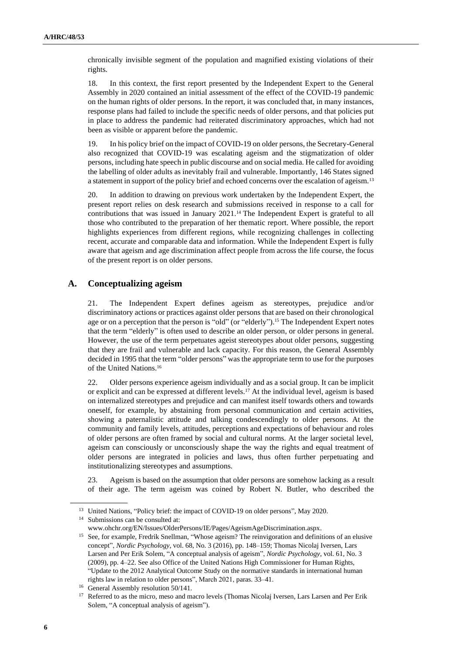chronically invisible segment of the population and magnified existing violations of their rights.

18. In this context, the first report presented by the Independent Expert to the General Assembly in 2020 contained an initial assessment of the effect of the COVID-19 pandemic on the human rights of older persons. In the report, it was concluded that, in many instances, response plans had failed to include the specific needs of older persons, and that policies put in place to address the pandemic had reiterated discriminatory approaches, which had not been as visible or apparent before the pandemic.

19. In his policy brief on the impact of COVID-19 on older persons, the Secretary-General also recognized that COVID-19 was escalating ageism and the stigmatization of older persons, including hate speech in public discourse and on social media. He called for avoiding the labelling of older adults as inevitably frail and vulnerable. Importantly, 146 States signed a statement in support of the policy brief and echoed concerns over the escalation of ageism.<sup>13</sup>

20. In addition to drawing on previous work undertaken by the Independent Expert, the present report relies on desk research and submissions received in response to a call for contributions that was issued in January 2021.<sup>14</sup> The Independent Expert is grateful to all those who contributed to the preparation of her thematic report. Where possible, the report highlights experiences from different regions, while recognizing challenges in collecting recent, accurate and comparable data and information. While the Independent Expert is fully aware that ageism and age discrimination affect people from across the life course, the focus of the present report is on older persons.

#### **A. Conceptualizing ageism**

21. The Independent Expert defines ageism as stereotypes, prejudice and/or discriminatory actions or practices against older persons that are based on their chronological age or on a perception that the person is "old" (or "elderly").<sup>15</sup> The Independent Expert notes that the term "elderly" is often used to describe an older person, or older persons in general. However, the use of the term perpetuates ageist stereotypes about older persons, suggesting that they are frail and vulnerable and lack capacity. For this reason, the General Assembly decided in 1995 that the term "older persons" was the appropriate term to use for the purposes of the United Nations. 16

22. Older persons experience ageism individually and as a social group. It can be implicit or explicit and can be expressed at different levels.<sup>17</sup> At the individual level, ageism is based on internalized stereotypes and prejudice and can manifest itself towards others and towards oneself, for example, by abstaining from personal communication and certain activities, showing a paternalistic attitude and talking condescendingly to older persons. At the community and family levels, attitudes, perceptions and expectations of behaviour and roles of older persons are often framed by social and cultural norms. At the larger societal level, ageism can consciously or unconsciously shape the way the rights and equal treatment of older persons are integrated in policies and laws, thus often further perpetuating and institutionalizing stereotypes and assumptions.

23. Ageism is based on the assumption that older persons are somehow lacking as a result of their age. The term ageism was coined by Robert N. Butler, who described the

<sup>&</sup>lt;sup>13</sup> United Nations, "Policy brief: the impact of COVID-19 on older persons", May 2020.

<sup>14</sup> Submissions can be consulted at:

www.ohchr.org/EN/Issues/OlderPersons/IE/Pages/AgeismAgeDiscrimination.aspx.

<sup>&</sup>lt;sup>15</sup> See, for example, Fredrik Snellman, "Whose ageism? The reinvigoration and definitions of an elusive concept", *Nordic Psychology*, vol. 68, No. 3 (2016), pp. 148–159; Thomas Nicolaj Iversen, Lars Larsen and Per Erik Solem, "A conceptual analysis of ageism", *Nordic Psychology*, vol. 61, No. 3 (2009), pp. 4–22. See also Office of the United Nations High Commissioner for Human Rights, "Update to the 2012 Analytical Outcome Study on the normative standards in international human rights law in relation to older persons", March 2021, paras. 33–41.

<sup>&</sup>lt;sup>16</sup> General Assembly resolution 50/141.

<sup>&</sup>lt;sup>17</sup> Referred to as the micro, meso and macro levels (Thomas Nicolaj Iversen, Lars Larsen and Per Erik Solem, "A conceptual analysis of ageism").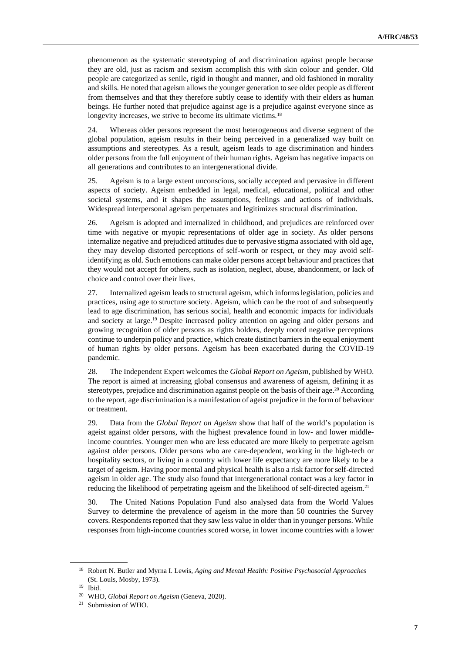phenomenon as the systematic stereotyping of and discrimination against people because they are old, just as racism and sexism accomplish this with skin colour and gender. Old people are categorized as senile, rigid in thought and manner, and old fashioned in morality and skills. He noted that ageism allows the younger generation to see older people as different from themselves and that they therefore subtly cease to identify with their elders as human beings. He further noted that prejudice against age is a prejudice against everyone since as longevity increases, we strive to become its ultimate victims.<sup>18</sup>

24. Whereas older persons represent the most heterogeneous and diverse segment of the global population, ageism results in their being perceived in a generalized way built on assumptions and stereotypes. As a result, ageism leads to age discrimination and hinders older persons from the full enjoyment of their human rights. Ageism has negative impacts on all generations and contributes to an intergenerational divide.

25. Ageism is to a large extent unconscious, socially accepted and pervasive in different aspects of society. Ageism embedded in legal, medical, educational, political and other societal systems, and it shapes the assumptions, feelings and actions of individuals. Widespread interpersonal ageism perpetuates and legitimizes structural discrimination.

26. Ageism is adopted and internalized in childhood, and prejudices are reinforced over time with negative or myopic representations of older age in society. As older persons internalize negative and prejudiced attitudes due to pervasive stigma associated with old age, they may develop distorted perceptions of self-worth or respect, or they may avoid selfidentifying as old. Such emotions can make older persons accept behaviour and practices that they would not accept for others, such as isolation, neglect, abuse, abandonment, or lack of choice and control over their lives.

27. Internalized ageism leads to structural ageism, which informs legislation, policies and practices, using age to structure society. Ageism, which can be the root of and subsequently lead to age discrimination, has serious social, health and economic impacts for individuals and society at large. <sup>19</sup> Despite increased policy attention on ageing and older persons and growing recognition of older persons as rights holders, deeply rooted negative perceptions continue to underpin policy and practice, which create distinct barriers in the equal enjoyment of human rights by older persons. Ageism has been exacerbated during the COVID-19 pandemic.

28. The Independent Expert welcomes the *Global Report on Ageism*, published by WHO. The report is aimed at increasing global consensus and awareness of ageism, defining it as stereotypes, prejudice and discrimination against people on the basis of their age.<sup>20</sup> According to the report, age discrimination is a manifestation of ageist prejudice in the form of behaviour or treatment.

29. Data from the *Global Report on Ageism* show that half of the world's population is ageist against older persons, with the highest prevalence found in low- and lower middleincome countries. Younger men who are less educated are more likely to perpetrate ageism against older persons. Older persons who are care-dependent, working in the high-tech or hospitality sectors, or living in a country with lower life expectancy are more likely to be a target of ageism. Having poor mental and physical health is also a risk factor for self-directed ageism in older age. The study also found that intergenerational contact was a key factor in reducing the likelihood of perpetrating ageism and the likelihood of self-directed ageism.<sup>21</sup>

30. The United Nations Population Fund also analysed data from the World Values Survey to determine the prevalence of ageism in the more than 50 countries the Survey covers. Respondents reported that they saw less value in older than in younger persons. While responses from high-income countries scored worse, in lower income countries with a lower

<sup>18</sup> Robert N. Butler and Myrna I. Lewis, *Aging and Mental Health: Positive Psychosocial Approaches* (St. Louis, Mosby, 1973).

<sup>19</sup> Ibid.

<sup>20</sup> WHO, *Global Report on Ageism* (Geneva, 2020).

<sup>21</sup> Submission of WHO.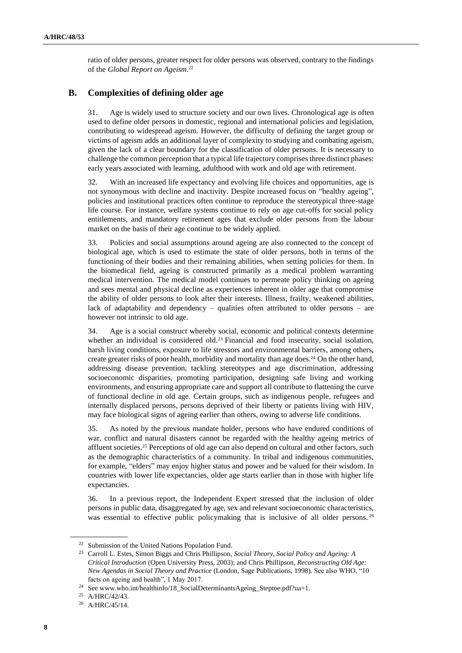ratio of older persons, greater respect for older persons was observed, contrary to the findings of the *Global Report on Ageism*. 22

### **B. Complexities of defining older age**

31. Age is widely used to structure society and our own lives. Chronological age is often used to define older persons in domestic, regional and international policies and legislation, contributing to widespread ageism. However, the difficulty of defining the target group or victims of ageism adds an additional layer of complexity to studying and combating ageism, given the lack of a clear boundary for the classification of older persons. It is necessary to challenge the common perception that a typical life trajectory comprisesthree distinct phases: early years associated with learning, adulthood with work and old age with retirement.

32. With an increased life expectancy and evolving life choices and opportunities, age is not synonymous with decline and inactivity. Despite increased focus on "healthy ageing", policies and institutional practices often continue to reproduce the stereotypical three-stage life course. For instance, welfare systems continue to rely on age cut-offs for social policy entitlements, and mandatory retirement ages that exclude older persons from the labour market on the basis of their age continue to be widely applied.

33. Policies and social assumptions around ageing are also connected to the concept of biological age, which is used to estimate the state of older persons, both in terms of the functioning of their bodies and their remaining abilities, when setting policies for them. In the biomedical field, ageing is constructed primarily as a medical problem warranting medical intervention. The medical model continues to permeate policy thinking on ageing and sees mental and physical decline as experiences inherent in older age that compromise the ability of older persons to look after their interests. Illness, frailty, weakened abilities, lack of adaptability and dependency – qualities often attributed to older persons – are however not intrinsic to old age.

34. Age is a social construct whereby social, economic and political contexts determine whether an individual is considered old.<sup>23</sup> Financial and food insecurity, social isolation, harsh living conditions, exposure to life stressors and environmental barriers, among others, create greater risks of poor health, morbidity and mortality than age does. <sup>24</sup> On the other hand, addressing disease prevention, tackling stereotypes and age discrimination, addressing socioeconomic disparities, promoting participation, designing safe living and working environments, and ensuring appropriate care and support all contribute to flattening the curve of functional decline in old age. Certain groups, such as indigenous people, refugees and internally displaced persons, persons deprived of their liberty or patients living with HIV, may face biological signs of ageing earlier than others, owing to adverse life conditions.

35. As noted by the previous mandate holder, persons who have endured conditions of war, conflict and natural disasters cannot be regarded with the healthy ageing metrics of affluent societies.<sup>25</sup> Perceptions of old age can also depend on cultural and other factors, such as the demographic characteristics of a community. In tribal and indigenous communities, for example, "elders" may enjoy higher status and power and be valued for their wisdom. In countries with lower life expectancies, older age starts earlier than in those with higher life expectancies.

36. In a previous report, the Independent Expert stressed that the inclusion of older persons in public data, disaggregated by age, sex and relevant socioeconomic characteristics, was essential to effective public policymaking that is inclusive of all older persons.<sup>26</sup>

<sup>22</sup> Submission of the United Nations Population Fund.

<sup>23</sup> Carroll L. Estes, Simon Biggs and Chris Phillipson, *Social Theory, Social Policy and Ageing: A Critical Introduction* (Open University Press, 2003); and Chris Phillipson, *Reconstructing Old Age: New Agendas in Social Theory and Practice* (London, Sage Publications, 1998). See also WHO, "10 facts on ageing and health", 1 May 2017.

<sup>&</sup>lt;sup>24</sup> See www.who.int/healthinfo/18\_SocialDeterminantsAgeing\_Steptoe.pdf?ua=1.

<sup>25</sup> A/HRC/42/43.

<sup>26</sup> A/HRC/45/14.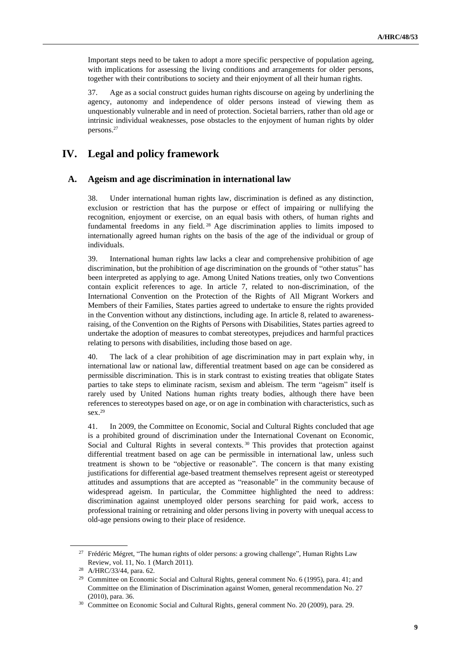Important steps need to be taken to adopt a more specific perspective of population ageing, with implications for assessing the living conditions and arrangements for older persons, together with their contributions to society and their enjoyment of all their human rights.

37. Age as a social construct guides human rights discourse on ageing by underlining the agency, autonomy and independence of older persons instead of viewing them as unquestionably vulnerable and in need of protection. Societal barriers, rather than old age or intrinsic individual weaknesses, pose obstacles to the enjoyment of human rights by older persons. 27

### **IV. Legal and policy framework**

#### **A. Ageism and age discrimination in international law**

38. Under international human rights law, discrimination is defined as any distinction, exclusion or restriction that has the purpose or effect of impairing or nullifying the recognition, enjoyment or exercise, on an equal basis with others, of human rights and fundamental freedoms in any field. <sup>28</sup> Age discrimination applies to limits imposed to internationally agreed human rights on the basis of the age of the individual or group of individuals.

39. International human rights law lacks a clear and comprehensive prohibition of age discrimination, but the prohibition of age discrimination on the grounds of "other status" has been interpreted as applying to age. Among United Nations treaties, only two Conventions contain explicit references to age. In article 7, related to non-discrimination, of the International Convention on the Protection of the Rights of All Migrant Workers and Members of their Families, States parties agreed to undertake to ensure the rights provided in the Convention without any distinctions, including age. In article 8, related to awarenessraising, of the Convention on the Rights of Persons with Disabilities, States parties agreed to undertake the adoption of measures to combat stereotypes, prejudices and harmful practices relating to persons with disabilities, including those based on age.

40. The lack of a clear prohibition of age discrimination may in part explain why, in international law or national law, differential treatment based on age can be considered as permissible discrimination. This is in stark contrast to existing treaties that obligate States parties to take steps to eliminate racism, sexism and ableism. The term "ageism" itself is rarely used by United Nations human rights treaty bodies, although there have been references to stereotypes based on age, or on age in combination with characteristics, such as sex.<sup>29</sup>

41. In 2009, the Committee on Economic, Social and Cultural Rights concluded that age is a prohibited ground of discrimination under the International Covenant on Economic, Social and Cultural Rights in several contexts. <sup>30</sup> This provides that protection against differential treatment based on age can be permissible in international law, unless such treatment is shown to be "objective or reasonable". The concern is that many existing justifications for differential age-based treatment themselves represent ageist or stereotyped attitudes and assumptions that are accepted as "reasonable" in the community because of widespread ageism. In particular, the Committee highlighted the need to address: discrimination against unemployed older persons searching for paid work, access to professional training or retraining and older persons living in poverty with unequal access to old-age pensions owing to their place of residence.

<sup>&</sup>lt;sup>27</sup> Frédéric Mégret, "The human rights of older persons: a growing challenge", Human Rights Law Review, vol. 11, No. 1 (March 2011).

<sup>28</sup> A/HRC/33/44, para. 62.

<sup>&</sup>lt;sup>29</sup> Committee on Economic Social and Cultural Rights, general comment No. 6 (1995), para. 41; and Committee on the Elimination of Discrimination against Women, general recommendation No. 27 (2010), para. 36.

<sup>&</sup>lt;sup>30</sup> Committee on Economic Social and Cultural Rights, general comment No. 20 (2009), para. 29.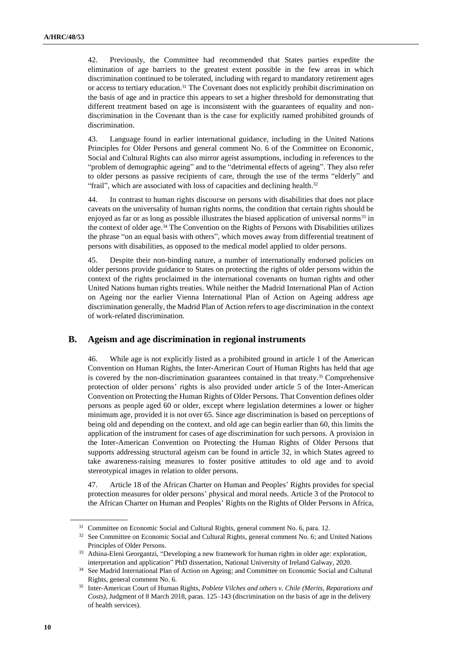42. Previously, the Committee had recommended that States parties expedite the elimination of age barriers to the greatest extent possible in the few areas in which discrimination continued to be tolerated, including with regard to mandatory retirement ages or access to tertiary education.<sup>31</sup> The Covenant does not explicitly prohibit discrimination on the basis of age and in practice this appears to set a higher threshold for demonstrating that different treatment based on age is inconsistent with the guarantees of equality and nondiscrimination in the Covenant than is the case for explicitly named prohibited grounds of discrimination.

43. Language found in earlier international guidance, including in the United Nations Principles for Older Persons and general comment No. 6 of the Committee on Economic, Social and Cultural Rights can also mirror ageist assumptions, including in references to the "problem of demographic ageing" and to the "detrimental effects of ageing". They also refer to older persons as passive recipients of care, through the use of the terms "elderly" and "frail", which are associated with loss of capacities and declining health.<sup>32</sup>

44. In contrast to human rights discourse on persons with disabilities that does not place caveats on the universality of human rights norms, the condition that certain rights should be enjoyed as far or as long as possible illustrates the biased application of universal norms<sup>33</sup> in the context of older age. <sup>34</sup> The Convention on the Rights of Persons with Disabilities utilizes the phrase "on an equal basis with others", which moves away from differential treatment of persons with disabilities, as opposed to the medical model applied to older persons.

45. Despite their non-binding nature, a number of internationally endorsed policies on older persons provide guidance to States on protecting the rights of older persons within the context of the rights proclaimed in the international covenants on human rights and other United Nations human rights treaties. While neither the Madrid International Plan of Action on Ageing nor the earlier Vienna International Plan of Action on Ageing address age discrimination generally, the Madrid Plan of Action refers to age discrimination in the context of work-related discrimination.

### **B. Ageism and age discrimination in regional instruments**

46. While age is not explicitly listed as a prohibited ground in article 1 of the American Convention on Human Rights, the Inter-American Court of Human Rights has held that age is covered by the non-discrimination guarantees contained in that treaty.<sup>35</sup> Comprehensive protection of older persons' rights is also provided under article 5 of the Inter-American Convention on Protecting the Human Rights of Older Persons. That Convention defines older persons as people aged 60 or older, except where legislation determines a lower or higher minimum age, provided it is not over 65. Since age discrimination is based on perceptions of being old and depending on the context, and old age can begin earlier than 60, this limits the application of the instrument for cases of age discrimination for such persons. A provision in the Inter-American Convention on Protecting the Human Rights of Older Persons that supports addressing structural ageism can be found in article 32, in which States agreed to take awareness-raising measures to foster positive attitudes to old age and to avoid stereotypical images in relation to older persons.

47. Article 18 of the African Charter on Human and Peoples' Rights provides for special protection measures for older persons' physical and moral needs. Article 3 of the Protocol to the African Charter on Human and Peoples' Rights on the Rights of Older Persons in Africa,

<sup>&</sup>lt;sup>31</sup> Committee on Economic Social and Cultural Rights, general comment No. 6, para. 12.

<sup>&</sup>lt;sup>32</sup> See Committee on Economic Social and Cultural Rights, general comment No. 6; and United Nations Principles of Older Persons.

<sup>33</sup> Athina-Eleni Georgantzi, "Developing a new framework for human rights in older age: exploration, interpretation and application" PhD dissertation, National University of Ireland Galway, 2020.

<sup>&</sup>lt;sup>34</sup> See Madrid International Plan of Action on Ageing; and Committee on Economic Social and Cultural Rights, general comment No. 6.

<sup>35</sup> Inter-American Court of Human Rights, *Poblete Vilches and others v. Chile (Merits, Reparations and Costs)*, Judgment of 8 March 2018, paras. 125–143 (discrimination on the basis of age in the delivery of health services).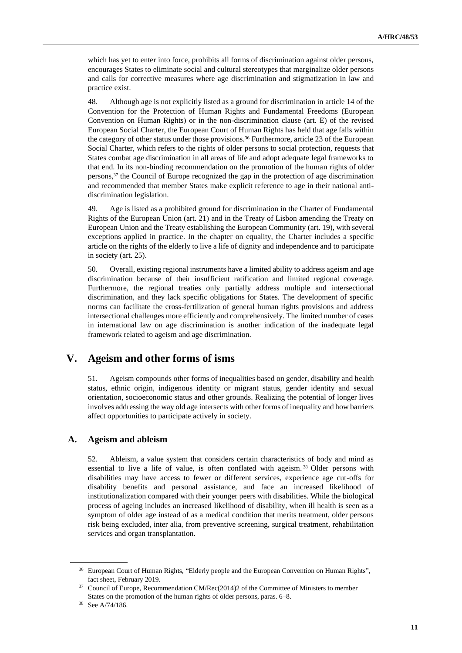which has yet to enter into force, prohibits all forms of discrimination against older persons, encourages States to eliminate social and cultural stereotypes that marginalize older persons and calls for corrective measures where age discrimination and stigmatization in law and practice exist.

48. Although age is not explicitly listed as a ground for discrimination in article 14 of the Convention for the Protection of Human Rights and Fundamental Freedoms (European Convention on Human Rights) or in the non-discrimination clause (art. E) of the revised European Social Charter, the European Court of Human Rights has held that age falls within the category of other status under those provisions.<sup>36</sup> Furthermore, article 23 of the European Social Charter, which refers to the rights of older persons to social protection, requests that States combat age discrimination in all areas of life and adopt adequate legal frameworks to that end. In its non-binding recommendation on the promotion of the human rights of older persons, <sup>37</sup> the Council of Europe recognized the gap in the protection of age discrimination and recommended that member States make explicit reference to age in their national antidiscrimination legislation.

49. Age is listed as a prohibited ground for discrimination in the Charter of Fundamental Rights of the European Union (art. 21) and in the Treaty of Lisbon amending the Treaty on European Union and the Treaty establishing the European Community (art. 19), with several exceptions applied in practice. In the chapter on equality, the Charter includes a specific article on the rights of the elderly to live a life of dignity and independence and to participate in society (art. 25).

50. Overall, existing regional instruments have a limited ability to address ageism and age discrimination because of their insufficient ratification and limited regional coverage. Furthermore, the regional treaties only partially address multiple and intersectional discrimination, and they lack specific obligations for States. The development of specific norms can facilitate the cross-fertilization of general human rights provisions and address intersectional challenges more efficiently and comprehensively. The limited number of cases in international law on age discrimination is another indication of the inadequate legal framework related to ageism and age discrimination.

# **V. Ageism and other forms of isms**

51. Ageism compounds other forms of inequalities based on gender, disability and health status, ethnic origin, indigenous identity or migrant status, gender identity and sexual orientation, socioeconomic status and other grounds. Realizing the potential of longer lives involves addressing the way old age intersects with other forms of inequality and how barriers affect opportunities to participate actively in society.

#### **A. Ageism and ableism**

52. Ableism, a value system that considers certain characteristics of body and mind as essential to live a life of value, is often conflated with ageism.<sup>38</sup> Older persons with disabilities may have access to fewer or different services, experience age cut-offs for disability benefits and personal assistance, and face an increased likelihood of institutionalization compared with their younger peers with disabilities. While the biological process of ageing includes an increased likelihood of disability, when ill health is seen as a symptom of older age instead of as a medical condition that merits treatment, older persons risk being excluded, inter alia, from preventive screening, surgical treatment, rehabilitation services and organ transplantation.

<sup>36</sup> European Court of Human Rights, "Elderly people and the European Convention on Human Rights", fact sheet, February 2019.

<sup>37</sup> Council of Europe, Recommendation CM/Rec(2014)2 of the Committee of Ministers to member States on the promotion of the human rights of older persons, paras. 6–8.

<sup>38</sup> See A/74/186.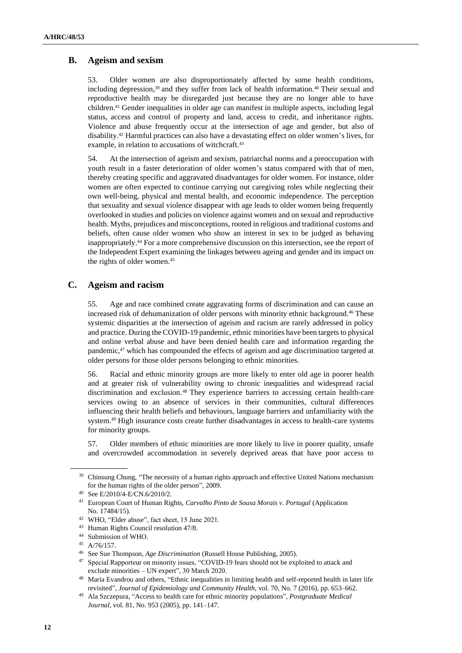#### **B. Ageism and sexism**

53. Older women are also disproportionately affected by some health conditions, including depression, <sup>39</sup> and they suffer from lack of health information.<sup>40</sup> Their sexual and reproductive health may be disregarded just because they are no longer able to have children. <sup>41</sup> Gender inequalities in older age can manifest in multiple aspects, including legal status, access and control of property and land, access to credit, and inheritance rights. Violence and abuse frequently occur at the intersection of age and gender, but also of disability. <sup>42</sup> Harmful practices can also have a devastating effect on older women's lives, for example, in relation to accusations of witchcraft.<sup>43</sup>

54. At the intersection of ageism and sexism, patriarchal norms and a preoccupation with youth result in a faster deterioration of older women's status compared with that of men, thereby creating specific and aggravated disadvantages for older women. For instance, older women are often expected to continue carrying out caregiving roles while neglecting their own well-being, physical and mental health, and economic independence. The perception that sexuality and sexual violence disappear with age leads to older women being frequently overlooked in studies and policies on violence against women and on sexual and reproductive health. Myths, prejudices and misconceptions, rooted in religious and traditional customs and beliefs, often cause older women who show an interest in sex to be judged as behaving inappropriately. <sup>44</sup> For a more comprehensive discussion on this intersection, see the report of the Independent Expert examining the linkages between ageing and gender and its impact on the rights of older women.<sup>45</sup>

#### **C. Ageism and racism**

55. Age and race combined create aggravating forms of discrimination and can cause an increased risk of dehumanization of older persons with minority ethnic background. <sup>46</sup> These systemic disparities at the intersection of ageism and racism are rarely addressed in policy and practice. During the COVID-19 pandemic, ethnic minorities have been targets to physical and online verbal abuse and have been denied health care and information regarding the pandemic,<sup>47</sup> which has compounded the effects of ageism and age discrimination targeted at older persons for those older persons belonging to ethnic minorities.

56. Racial and ethnic minority groups are more likely to enter old age in poorer health and at greater risk of vulnerability owing to chronic inequalities and widespread racial discrimination and exclusion. <sup>48</sup> They experience barriers to accessing certain health-care services owing to an absence of services in their communities, cultural differences influencing their health beliefs and behaviours, language barriers and unfamiliarity with the system. <sup>49</sup> High insurance costs create further disadvantages in access to health-care systems for minority groups.

57. Older members of ethnic minorities are more likely to live in poorer quality, unsafe and overcrowded accommodation in severely deprived areas that have poor access to

<sup>&</sup>lt;sup>39</sup> Chinsung Chung, "The necessity of a human rights approach and effective United Nations mechanism for the human rights of the older person", 2009.

<sup>40</sup> See E/2010/4-E/CN.6/2010/2.

<sup>41</sup> European Court of Human Rights, *Carvalho Pinto de Sousa Morais v. Portugal* (Application No. 17484/15).

<sup>42</sup> WHO, "Elder abuse", fact sheet, 15 June 2021.

<sup>43</sup> Human Rights Council resolution 47/8.

<sup>44</sup> Submission of WHO.

<sup>45</sup> A/76/157.

<sup>46</sup> See Sue Thompson, *Age Discrimination* (Russell House Publishing, 2005).

<sup>&</sup>lt;sup>47</sup> Special Rapporteur on minority issues, "COVID-19 fears should not be exploited to attack and exclude minorities – UN expert", 30 March 2020.

<sup>48</sup> Maria Evandrou and others, "Ethnic inequalities in limiting health and self-reported health in later life revisited", *Journal of Epidemiology and Community Health*, vol. 70, No. 7 (2016), pp. 653–662.

<sup>49</sup> Ala Szczepura, "Access to health care for ethnic minority populations", *Postgraduate Medical Journal*, vol. 81, No. 953 (2005), pp. 141–147.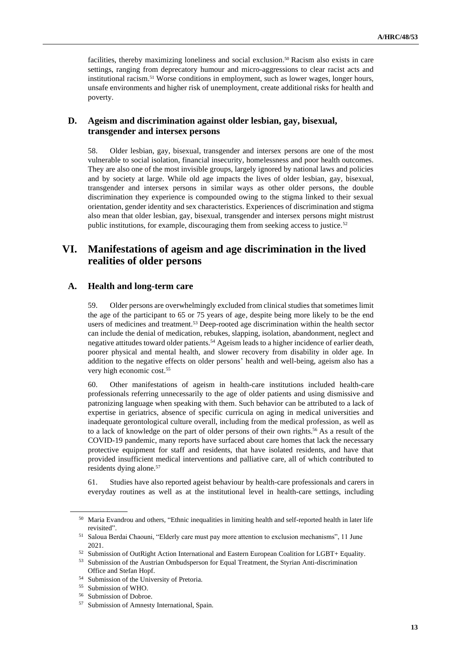facilities, thereby maximizing loneliness and social exclusion. <sup>50</sup> Racism also exists in care settings, ranging from deprecatory humour and micro-aggressions to clear racist acts and institutional racism. <sup>51</sup> Worse conditions in employment, such as lower wages, longer hours, unsafe environments and higher risk of unemployment, create additional risks for health and poverty.

#### **D. Ageism and discrimination against older lesbian, gay, bisexual, transgender and intersex persons**

58. Older lesbian, gay, bisexual, transgender and intersex persons are one of the most vulnerable to social isolation, financial insecurity, homelessness and poor health outcomes. They are also one of the most invisible groups, largely ignored by national laws and policies and by society at large. While old age impacts the lives of older lesbian, gay, bisexual, transgender and intersex persons in similar ways as other older persons, the double discrimination they experience is compounded owing to the stigma linked to their sexual orientation, gender identity and sex characteristics. Experiences of discrimination and stigma also mean that older lesbian, gay, bisexual, transgender and intersex persons might mistrust public institutions, for example, discouraging them from seeking access to justice.<sup>52</sup>

## **VI. Manifestations of ageism and age discrimination in the lived realities of older persons**

### **A. Health and long-term care**

59. Older persons are overwhelmingly excluded from clinical studies that sometimes limit the age of the participant to 65 or 75 years of age, despite being more likely to be the end users of medicines and treatment.<sup>53</sup> Deep-rooted age discrimination within the health sector can include the denial of medication, rebukes, slapping, isolation, abandonment, neglect and negative attitudes toward older patients.<sup>54</sup> Ageism leads to a higher incidence of earlier death, poorer physical and mental health, and slower recovery from disability in older age. In addition to the negative effects on older persons' health and well-being, ageism also has a very high economic cost.<sup>55</sup>

60. Other manifestations of ageism in health-care institutions included health-care professionals referring unnecessarily to the age of older patients and using dismissive and patronizing language when speaking with them. Such behavior can be attributed to a lack of expertise in geriatrics, absence of specific curricula on aging in medical universities and inadequate gerontological culture overall, including from the medical profession, as well as to a lack of knowledge on the part of older persons of their own rights.<sup>56</sup> As a result of the COVID-19 pandemic, many reports have surfaced about care homes that lack the necessary protective equipment for staff and residents, that have isolated residents, and have that provided insufficient medical interventions and palliative care, all of which contributed to residents dying alone.<sup>57</sup>

61. Studies have also reported ageist behaviour by health-care professionals and carers in everyday routines as well as at the institutional level in health-care settings, including

<sup>&</sup>lt;sup>50</sup> Maria Evandrou and others, "Ethnic inequalities in limiting health and self-reported health in later life revisited".

<sup>51</sup> Saloua Berdai Chaouni, "Elderly care must pay more attention to exclusion mechanisms", 11 June 2021.

<sup>52</sup> Submission of OutRight Action International and Eastern European Coalition for LGBT+ Equality.

<sup>53</sup> Submission of the Austrian Ombudsperson for Equal Treatment, the Styrian Anti-discrimination Office and Stefan Hopf.

<sup>54</sup> Submission of the University of Pretoria.

<sup>55</sup> Submission of WHO.

<sup>56</sup> Submission of Dobroe.

<sup>57</sup> Submission of Amnesty International, Spain.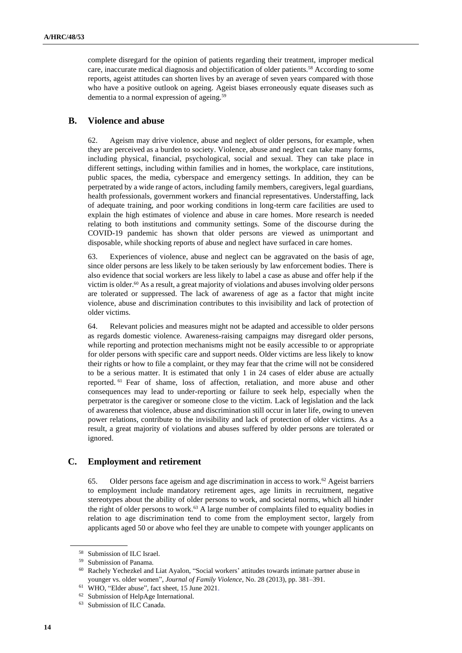complete disregard for the opinion of patients regarding their treatment, improper medical care, inaccurate medical diagnosis and objectification of older patients.<sup>58</sup> According to some reports, ageist attitudes can shorten lives by an average of seven years compared with those who have a positive outlook on ageing. Ageist biases erroneously equate diseases such as dementia to a normal expression of ageing.<sup>59</sup>

#### **B. Violence and abuse**

62. Ageism may drive violence, abuse and neglect of older persons, for example, when they are perceived as a burden to society. Violence, abuse and neglect can take many forms, including physical, financial, psychological, social and sexual. They can take place in different settings, including within families and in homes, the workplace, care institutions, public spaces, the media, cyberspace and emergency settings. In addition, they can be perpetrated by a wide range of actors, including family members, caregivers, legal guardians, health professionals, government workers and financial representatives. Understaffing, lack of adequate training, and poor working conditions in long-term care facilities are used to explain the high estimates of violence and abuse in care homes. More research is needed relating to both institutions and community settings. Some of the discourse during the COVID-19 pandemic has shown that older persons are viewed as unimportant and disposable, while shocking reports of abuse and neglect have surfaced in care homes.

63. Experiences of violence, abuse and neglect can be aggravated on the basis of age, since older persons are less likely to be taken seriously by law enforcement bodies. There is also evidence that social workers are less likely to label a case as abuse and offer help if the victim is older. <sup>60</sup> As a result, a great majority of violations and abuses involving older persons are tolerated or suppressed. The lack of awareness of age as a factor that might incite violence, abuse and discrimination contributes to this invisibility and lack of protection of older victims.

64. Relevant policies and measures might not be adapted and accessible to older persons as regards domestic violence. Awareness-raising campaigns may disregard older persons, while reporting and protection mechanisms might not be easily accessible to or appropriate for older persons with specific care and support needs. Older victims are less likely to know their rights or how to file a complaint, or they may fear that the crime will not be considered to be a serious matter. It is estimated that only 1 in 24 cases of elder abuse are actually reported. <sup>61</sup> Fear of shame, loss of affection, retaliation, and more abuse and other consequences may lead to under-reporting or failure to seek help, especially when the perpetrator is the caregiver or someone close to the victim. Lack of legislation and the lack of awareness that violence, abuse and discrimination still occur in later life, owing to uneven power relations, contribute to the invisibility and lack of protection of older victims. As a result, a great majority of violations and abuses suffered by older persons are tolerated or ignored.

### **C. Employment and retirement**

65. Older persons face ageism and age discrimination in access to work.<sup>62</sup> Ageist barriers to employment include mandatory retirement ages, age limits in recruitment, negative stereotypes about the ability of older persons to work, and societal norms, which all hinder the right of older persons to work.<sup>63</sup> A large number of complaints filed to equality bodies in relation to age discrimination tend to come from the employment sector, largely from applicants aged 50 or above who feel they are unable to compete with younger applicants on

 $58$  Submission of ILC Israel.<br> $59$  Submission of Panama

Submission of Panama.

<sup>60</sup> Rachely Yechezkel and Liat Ayalon, "Social workers' attitudes towards intimate partner abuse in younger vs. older women", *Journal of Family Violence*, No. 28 (2013), pp. 381–391.

<sup>61</sup> WHO, "Elder abuse", fact sheet, 15 June 2021.

<sup>62</sup> Submission of HelpAge International.

<sup>63</sup> Submission of ILC Canada.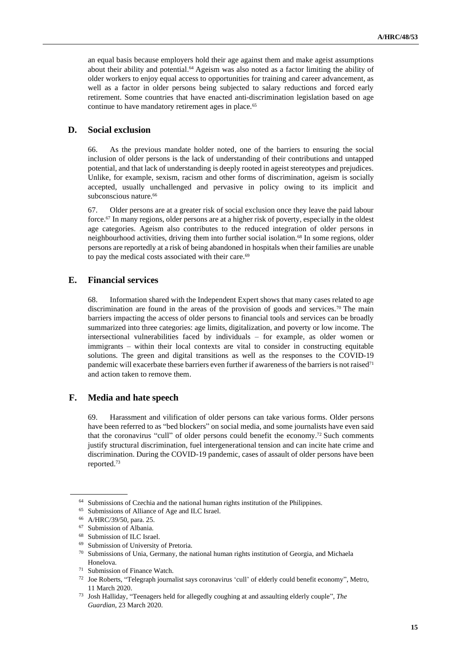an equal basis because employers hold their age against them and make ageist assumptions about their ability and potential. <sup>64</sup> Ageism was also noted as a factor limiting the ability of older workers to enjoy equal access to opportunities for training and career advancement, as well as a factor in older persons being subjected to salary reductions and forced early retirement. Some countries that have enacted anti-discrimination legislation based on age continue to have mandatory retirement ages in place.<sup>65</sup>

#### **D. Social exclusion**

66. As the previous mandate holder noted, one of the barriers to ensuring the social inclusion of older persons is the lack of understanding of their contributions and untapped potential, and that lack of understanding is deeply rooted in ageist stereotypes and prejudices. Unlike, for example, sexism, racism and other forms of discrimination, ageism is socially accepted, usually unchallenged and pervasive in policy owing to its implicit and subconscious nature. 66

67. Older persons are at a greater risk of social exclusion once they leave the paid labour force.<sup>67</sup> In many regions, older persons are at a higher risk of poverty, especially in the oldest age categories. Ageism also contributes to the reduced integration of older persons in neighbourhood activities, driving them into further social isolation.<sup>68</sup> In some regions, older persons are reportedly at a risk of being abandoned in hospitals when their families are unable to pay the medical costs associated with their care.<sup>69</sup>

#### **E. Financial services**

68. Information shared with the Independent Expert shows that many cases related to age discrimination are found in the areas of the provision of goods and services.<sup>70</sup> The main barriers impacting the access of older persons to financial tools and services can be broadly summarized into three categories: age limits, digitalization, and poverty or low income. The intersectional vulnerabilities faced by individuals – for example, as older women or immigrants – within their local contexts are vital to consider in constructing equitable solutions. The green and digital transitions as well as the responses to the COVID-19 pandemic will exacerbate these barriers even further if awareness of the barriers is not raised<sup>71</sup> and action taken to remove them.

#### **F. Media and hate speech**

69. Harassment and vilification of older persons can take various forms. Older persons have been referred to as "bed blockers" on social media, and some journalists have even said that the coronavirus "cull" of older persons could benefit the economy. <sup>72</sup> Such comments justify structural discrimination, fuel intergenerational tension and can incite hate crime and discrimination. During the COVID-19 pandemic, cases of assault of older persons have been reported. 73

<sup>&</sup>lt;sup>64</sup> Submissions of Czechia and the national human rights institution of the Philippines.

<sup>65</sup> Submissions of Alliance of Age and ILC Israel.

<sup>66</sup> A/HRC/39/50, para. 25.

 $67$  Submission of Albania.<br> $68$  Submission of H C Isra

Submission of ILC Israel.

<sup>69</sup> Submission of University of Pretoria.

<sup>70</sup> Submissions of Unia, Germany, the national human rights institution of Georgia, and Michaela Honelova.

<sup>71</sup> Submission of Finance Watch.

<sup>72</sup> Joe Roberts, "Telegraph journalist says coronavirus 'cull' of elderly could benefit economy", Metro, 11 March 2020.

<sup>73</sup> Josh Halliday, "Teenagers held for allegedly coughing at and assaulting elderly couple", *The Guardian*, 23 March 2020.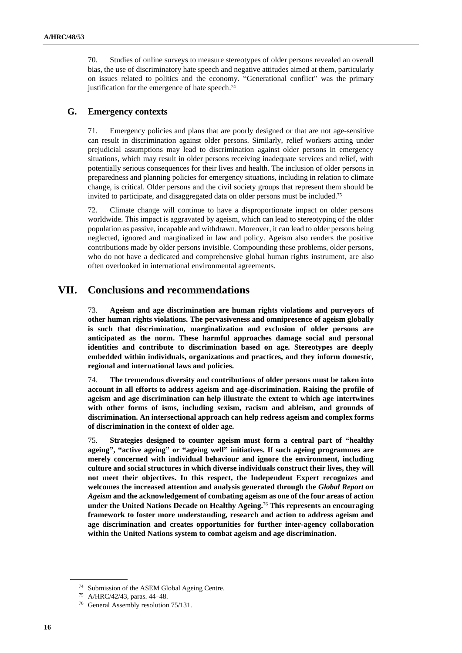70. Studies of online surveys to measure stereotypes of older persons revealed an overall bias, the use of discriminatory hate speech and negative attitudes aimed at them, particularly on issues related to politics and the economy. "Generational conflict" was the primary justification for the emergence of hate speech. 74

#### **G. Emergency contexts**

71. Emergency policies and plans that are poorly designed or that are not age-sensitive can result in discrimination against older persons. Similarly, relief workers acting under prejudicial assumptions may lead to discrimination against older persons in emergency situations, which may result in older persons receiving inadequate services and relief, with potentially serious consequences for their lives and health. The inclusion of older persons in preparedness and planning policies for emergency situations, including in relation to climate change, is critical. Older persons and the civil society groups that represent them should be invited to participate, and disaggregated data on older persons must be included.<sup>75</sup>

72. Climate change will continue to have a disproportionate impact on older persons worldwide. This impact is aggravated by ageism, which can lead to stereotyping of the older population as passive, incapable and withdrawn. Moreover, it can lead to older persons being neglected, ignored and marginalized in law and policy. Ageism also renders the positive contributions made by older persons invisible. Compounding these problems, older persons, who do not have a dedicated and comprehensive global human rights instrument, are also often overlooked in international environmental agreements.

### **VII. Conclusions and recommendations**

73. **Ageism and age discrimination are human rights violations and purveyors of other human rights violations. The pervasiveness and omnipresence of ageism globally is such that discrimination, marginalization and exclusion of older persons are anticipated as the norm. These harmful approaches damage social and personal identities and contribute to discrimination based on age. Stereotypes are deeply embedded within individuals, organizations and practices, and they inform domestic, regional and international laws and policies.**

74. **The tremendous diversity and contributions of older persons must be taken into account in all efforts to address ageism and age-discrimination. Raising the profile of ageism and age discrimination can help illustrate the extent to which age intertwines with other forms of isms, including sexism, racism and ableism, and grounds of discrimination. An intersectional approach can help redress ageism and complex forms of discrimination in the context of older age.** 

75. **Strategies designed to counter ageism must form a central part of "healthy ageing", "active ageing" or "ageing well" initiatives. If such ageing programmes are merely concerned with individual behaviour and ignore the environment, including culture and social structures in which diverse individuals construct their lives, they will not meet their objectives. In this respect, the Independent Expert recognizes and welcomes the increased attention and analysis generated through the** *Global Report on Ageism* **and the acknowledgement of combating ageism as one of the four areas of action under the United Nations Decade on Healthy Ageing.**<sup>76</sup> **This represents an encouraging framework to foster more understanding, research and action to address ageism and age discrimination and creates opportunities for further inter-agency collaboration within the United Nations system to combat ageism and age discrimination.** 

<sup>74</sup> Submission of the ASEM Global Ageing Centre.

<sup>75</sup> A/HRC/42/43, paras. 44–48.

<sup>76</sup> General Assembly resolution 75/131.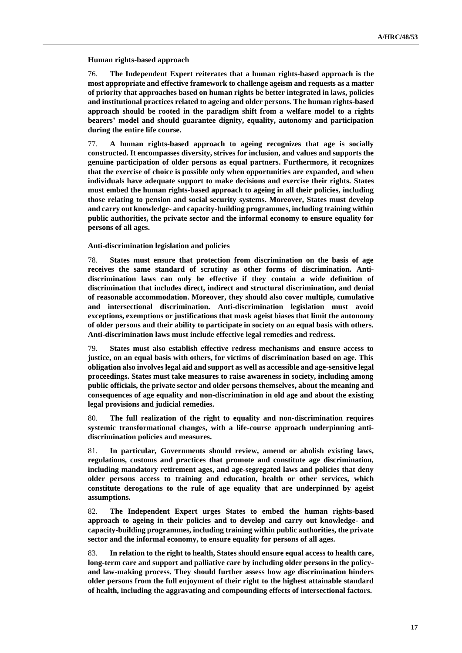**Human rights-based approach** 

76. **The Independent Expert reiterates that a human rights-based approach is the most appropriate and effective framework to challenge ageism and requests as a matter of priority that approaches based on human rights be better integrated in laws, policies and institutional practices related to ageing and older persons. The human rights-based approach should be rooted in the paradigm shift from a welfare model to a rights bearers' model and should guarantee dignity, equality, autonomy and participation during the entire life course.** 

77. **A human rights-based approach to ageing recognizes that age is socially constructed. It encompasses diversity, strives for inclusion, and values and supports the genuine participation of older persons as equal partners. Furthermore, it recognizes that the exercise of choice is possible only when opportunities are expanded, and when individuals have adequate support to make decisions and exercise their rights. States must embed the human rights-based approach to ageing in all their policies, including those relating to pension and social security systems. Moreover, States must develop and carry out knowledge- and capacity-building programmes, including training within public authorities, the private sector and the informal economy to ensure equality for persons of all ages.**

**Anti-discrimination legislation and policies**

78. **States must ensure that protection from discrimination on the basis of age receives the same standard of scrutiny as other forms of discrimination. Antidiscrimination laws can only be effective if they contain a wide definition of discrimination that includes direct, indirect and structural discrimination, and denial of reasonable accommodation. Moreover, they should also cover multiple, cumulative and intersectional discrimination. Anti-discrimination legislation must avoid exceptions, exemptions or justifications that mask ageist biases that limit the autonomy of older persons and their ability to participate in society on an equal basis with others. Anti-discrimination laws must include effective legal remedies and redress.**

79. **States must also establish effective redress mechanisms and ensure access to justice, on an equal basis with others, for victims of discrimination based on age. This obligation also involves legal aid and support as well as accessible and age-sensitive legal proceedings. States must take measures to raise awareness in society, including among public officials, the private sector and older persons themselves, about the meaning and consequences of age equality and non-discrimination in old age and about the existing legal provisions and judicial remedies.** 

80. **The full realization of the right to equality and non-discrimination requires systemic transformational changes, with a life-course approach underpinning antidiscrimination policies and measures.** 

81. **In particular, Governments should review, amend or abolish existing laws, regulations, customs and practices that promote and constitute age discrimination, including mandatory retirement ages, and age-segregated laws and policies that deny older persons access to training and education, health or other services, which constitute derogations to the rule of age equality that are underpinned by ageist assumptions.** 

82. **The Independent Expert urges States to embed the human rights-based approach to ageing in their policies and to develop and carry out knowledge- and capacity-building programmes, including training within public authorities, the private sector and the informal economy, to ensure equality for persons of all ages.**

83. **In relation to the right to health, States should ensure equal access to health care, long-term care and support and palliative care by including older persons in the policyand law-making process. They should further assess how age discrimination hinders older persons from the full enjoyment of their right to the highest attainable standard of health, including the aggravating and compounding effects of intersectional factors.**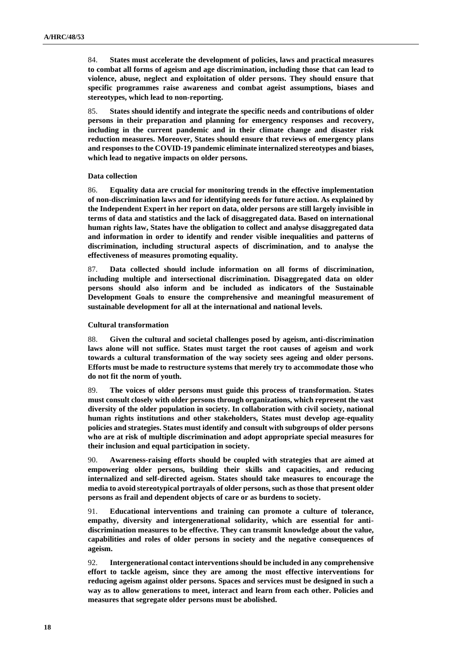84. **States must accelerate the development of policies, laws and practical measures to combat all forms of ageism and age discrimination, including those that can lead to violence, abuse, neglect and exploitation of older persons. They should ensure that specific programmes raise awareness and combat ageist assumptions, biases and stereotypes, which lead to non-reporting.**

85. **States should identify and integrate the specific needs and contributions of older persons in their preparation and planning for emergency responses and recovery, including in the current pandemic and in their climate change and disaster risk reduction measures. Moreover, States should ensure that reviews of emergency plans and responses to the COVID-19 pandemic eliminate internalized stereotypes and biases, which lead to negative impacts on older persons.**

#### **Data collection**

86. **Equality data are crucial for monitoring trends in the effective implementation of non-discrimination laws and for identifying needs for future action. As explained by the Independent Expert in her report on data, older persons are still largely invisible in terms of data and statistics and the lack of disaggregated data. Based on international human rights law, States have the obligation to collect and analyse disaggregated data and information in order to identify and render visible inequalities and patterns of discrimination, including structural aspects of discrimination, and to analyse the effectiveness of measures promoting equality.** 

87. **Data collected should include information on all forms of discrimination, including multiple and intersectional discrimination. Disaggregated data on older persons should also inform and be included as indicators of the Sustainable Development Goals to ensure the comprehensive and meaningful measurement of sustainable development for all at the international and national levels.**

#### **Cultural transformation**

88. **Given the cultural and societal challenges posed by ageism, anti-discrimination laws alone will not suffice. States must target the root causes of ageism and work towards a cultural transformation of the way society sees ageing and older persons. Efforts must be made to restructure systems that merely try to accommodate those who do not fit the norm of youth.** 

89. **The voices of older persons must guide this process of transformation. States must consult closely with older persons through organizations, which represent the vast diversity of the older population in society. In collaboration with civil society, national human rights institutions and other stakeholders, States must develop age-equality policies and strategies. States must identify and consult with subgroups of older persons who are at risk of multiple discrimination and adopt appropriate special measures for their inclusion and equal participation in society.**

90. **Awareness-raising efforts should be coupled with strategies that are aimed at empowering older persons, building their skills and capacities, and reducing internalized and self-directed ageism. States should take measures to encourage the media to avoid stereotypical portrayals of older persons, such as those that present older persons as frail and dependent objects of care or as burdens to society.** 

91. **Educational interventions and training can promote a culture of tolerance, empathy, diversity and intergenerational solidarity, which are essential for antidiscrimination measures to be effective. They can transmit knowledge about the value, capabilities and roles of older persons in society and the negative consequences of ageism.**

92. **Intergenerational contact interventions should be included in any comprehensive effort to tackle ageism, since they are among the most effective interventions for reducing ageism against older persons. Spaces and services must be designed in such a way as to allow generations to meet, interact and learn from each other. Policies and measures that segregate older persons must be abolished.**